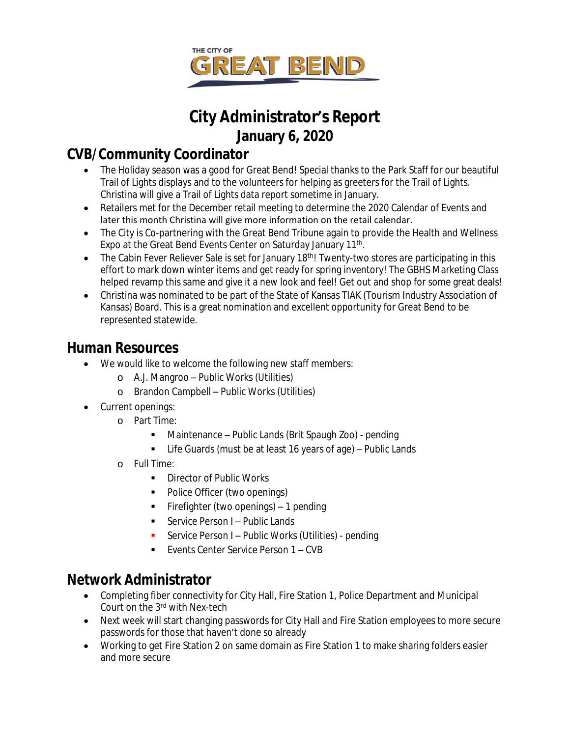

## **City Administrator's Report January 6, 2020**

### **CVB/Community Coordinator**

- The Holiday season was a good for Great Bend! Special thanks to the Park Staff for our beautiful Trail of Lights displays and to the volunteers for helping as greeters for the Trail of Lights. Christina will give a Trail of Lights data report sometime in January.
- Retailers met for the December retail meeting to determine the 2020 Calendar of Events and later this month Christina will give more information on the retail calendar.
- The City is Co-partnering with the Great Bend Tribune again to provide the Health and Wellness Expo at the Great Bend Events Center on Saturday January 11<sup>th</sup>.
- $\bullet$  The Cabin Fever Reliever Sale is set for January 18<sup>th</sup>! Twenty-two stores are participating in this effort to mark down winter items and get ready for spring inventory! The GBHS Marketing Class helped revamp this same and give it a new look and feel! Get out and shop for some great deals!
- Christina was nominated to be part of the State of Kansas TIAK (Tourism Industry Association of Kansas) Board. This is a great nomination and excellent opportunity for Great Bend to be represented statewide.

### **Human Resources**

- We would like to welcome the following new staff members:
	- o A.J. Mangroo Public Works (Utilities)
	- o Brandon Campbell Public Works (Utilities)
- Current openings:
	- o Part Time:
		- Maintenance Public Lands (Brit Spaugh Zoo) *pending*
		- Life Guards (must be at least 16 years of age) Public Lands
	- o Full Time:
		- **Director of Public Works**
		- Police Officer (two openings)
		- Firefighter (two openings) *1 pending*
		- Service Person I Public Lands
		- Service Person I Public Works (Utilities) *pending*
		- **EVents Center Service Person 1 CVB**

### **Network Administrator**

- Completing fiber connectivity for City Hall, Fire Station 1, Police Department and Municipal Court on the 3rd with Nex-tech
- Next week will start changing passwords for City Hall and Fire Station employees to more secure passwords for those that haven't done so already
- Working to get Fire Station 2 on same domain as Fire Station 1 to make sharing folders easier and more secure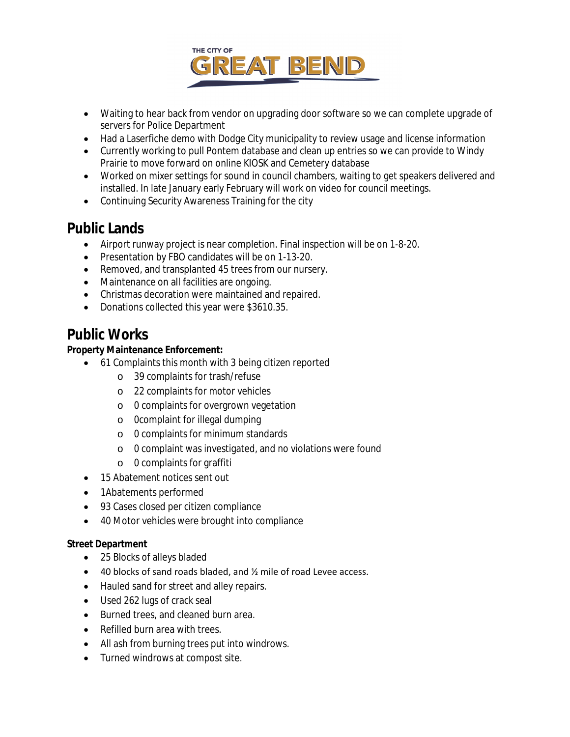

- Waiting to hear back from vendor on upgrading door software so we can complete upgrade of servers for Police Department
- Had a Laserfiche demo with Dodge City municipality to review usage and license information
- Currently working to pull Pontem database and clean up entries so we can provide to Windy Prairie to move forward on online KIOSK and Cemetery database
- Worked on mixer settings for sound in council chambers, waiting to get speakers delivered and installed. In late January early February will work on video for council meetings.
- Continuing Security Awareness Training for the city

### **Public Lands**

- Airport runway project is near completion. Final inspection will be on 1-8-20.
- **•** Presentation by FBO candidates will be on 1-13-20.
- Removed, and transplanted 45 trees from our nursery.
- Maintenance on all facilities are ongoing.
- Christmas decoration were maintained and repaired.
- Donations collected this year were \$3610.35.

### **Public Works**

#### **Property Maintenance Enforcement:**

- 61 Complaints this month with 3 being citizen reported
	- o 39 complaints for trash/refuse
	- o 22 complaints for motor vehicles
	- o 0 complaints for overgrown vegetation
	- o 0complaint for illegal dumping
	- o 0 complaints for minimum standards
	- o 0 complaint was investigated, and no violations were found
	- o 0 complaints for graffiti
- 15 Abatement notices sent out
- 1Abatements performed
- 93 Cases closed per citizen compliance
- 40 Motor vehicles were brought into compliance

#### **Street Department**

- 25 Blocks of alleys bladed
- 40 blocks of sand roads bladed, and ½ mile of road Levee access.
- Hauled sand for street and alley repairs.
- Used 262 lugs of crack seal
- **Burned trees, and cleaned burn area.**
- Refilled burn area with trees.
- All ash from burning trees put into windrows.
- Turned windrows at compost site.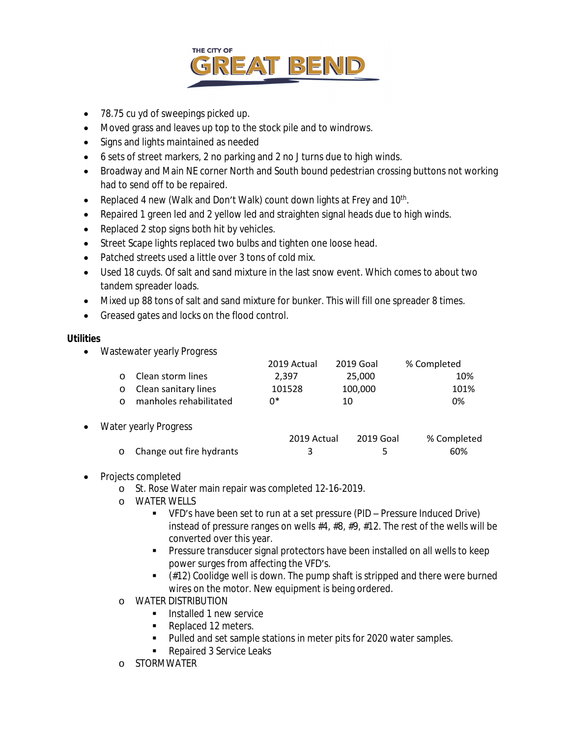

- 78.75 cu yd of sweepings picked up.
- Moved grass and leaves up top to the stock pile and to windrows.
- Signs and lights maintained as needed
- 6 sets of street markers, 2 no parking and 2 no J turns due to high winds.
- Broadway and Main NE corner North and South bound pedestrian crossing buttons not working had to send off to be repaired.
- Replaced 4 new (Walk and Don't Walk) count down lights at Frey and 10<sup>th</sup>.
- Repaired 1 green led and 2 yellow led and straighten signal heads due to high winds.
- Replaced 2 stop signs both hit by vehicles.
- Street Scape lights replaced two bulbs and tighten one loose head.
- Patched streets used a little over 3 tons of cold mix.
- Used 18 cuyds. Of salt and sand mixture in the last snow event. Which comes to about two tandem spreader loads.
- Mixed up 88 tons of salt and sand mixture for bunker. This will fill one spreader 8 times.
- Greased gates and locks on the flood control.

#### **Utilities**

Wastewater yearly Progress

|          |                               | 2019 Actual | 2019 Goal | % Completed |
|----------|-------------------------------|-------------|-----------|-------------|
|          | <b>O</b> Clean storm lines    | 2.397       | 25.000    | 10%         |
|          | <b>O</b> Clean sanitary lines | 101528      | 100,000   | 101%        |
| $\Omega$ | manholes rehabilitated        | ∩*          | 10        | 0%          |

• Water yearly Progress

|                            | 2019 Actual 2019 Goal | % Completed |
|----------------------------|-----------------------|-------------|
| o Change out fire hydrants |                       | 60%         |

- Projects completed
	- o St. Rose Water main repair was completed 12-16-2019.
	- o WATER WELLS
		- VFD's have been set to run at a set pressure (PID Pressure Induced Drive) instead of pressure ranges on wells #4, #8, #9, #12. The rest of the wells will be converted over this year.
		- **Pressure transducer signal protectors have been installed on all wells to keep** power surges from affecting the VFD's.
		- $(412)$  Coolidge well is down. The pump shaft is stripped and there were burned wires on the motor. New equipment is being ordered.
	- o WATER DISTRIBUTION
		- **Installed 1 new service**
		- Replaced 12 meters.
		- **Pulled and set sample stations in meter pits for 2020 water samples.**
		- Repaired 3 Service Leaks
	- o STORMWATER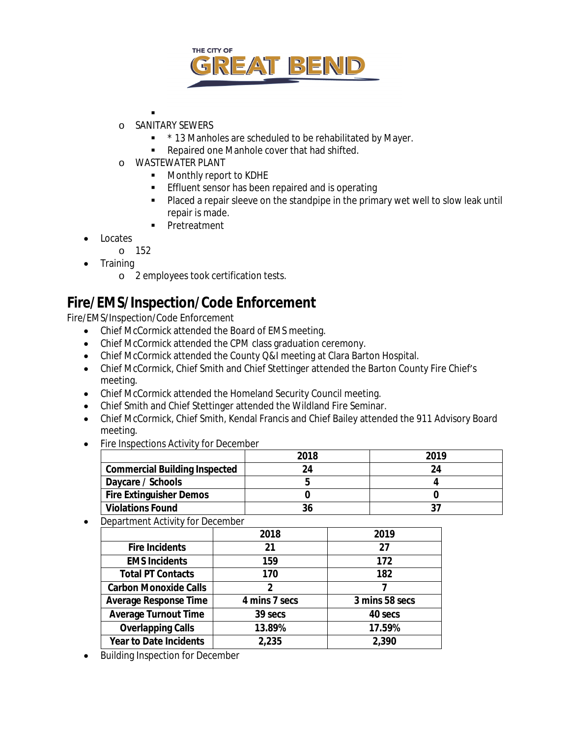

- . o SANITARY SEWERS
	- \* 13 Manholes are scheduled to be rehabilitated by Mayer.
	- Repaired one Manhole cover that had shifted.
- o WASTEWATER PLANT
	- **Monthly report to KDHE**
	- **Effluent sensor has been repaired and is operating**
	- **Placed a repair sleeve on the standpipe in the primary wet well to slow leak until** repair is made.
	- **Pretreatment**
- Locates
	- o 152
- Training
	- o 2 employees took certification tests.

### **Fire/EMS/Inspection/Code Enforcement**

Fire/EMS/Inspection/Code Enforcement

- Chief McCormick attended the Board of EMS meeting.
- Chief McCormick attended the CPM class graduation ceremony.
- Chief McCormick attended the County Q&I meeting at Clara Barton Hospital.
- Chief McCormick, Chief Smith and Chief Stettinger attended the Barton County Fire Chief's meeting.
- Chief McCormick attended the Homeland Security Council meeting.
- Chief Smith and Chief Stettinger attended the Wildland Fire Seminar.
- Chief McCormick, Chief Smith, Kendal Francis and Chief Bailey attended the 911 Advisory Board meeting.
- Fire Inspections Activity for December

|                                      | 2018 | 2019 |
|--------------------------------------|------|------|
| <b>Commercial Building Inspected</b> |      |      |
| Daycare / Schools                    |      |      |
| <b>Fire Extinguisher Demos</b>       |      |      |
| <b>Violations Found</b>              | 36   |      |

Department Activity for December

|                               | 2018          | 2019           |
|-------------------------------|---------------|----------------|
| <b>Fire Incidents</b>         | 21            | 27             |
| <b>EMS Incidents</b>          | 159           | 172            |
| <b>Total PT Contacts</b>      | 170           | 182            |
| <b>Carbon Monoxide Calls</b>  | 2             |                |
| <b>Average Response Time</b>  | 4 mins 7 secs | 3 mins 58 secs |
| <b>Average Turnout Time</b>   | 39 secs       | 40 secs        |
| <b>Overlapping Calls</b>      | 13.89%        | 17.59%         |
| <b>Year to Date Incidents</b> | 2,235         | 2,390          |

Building Inspection for December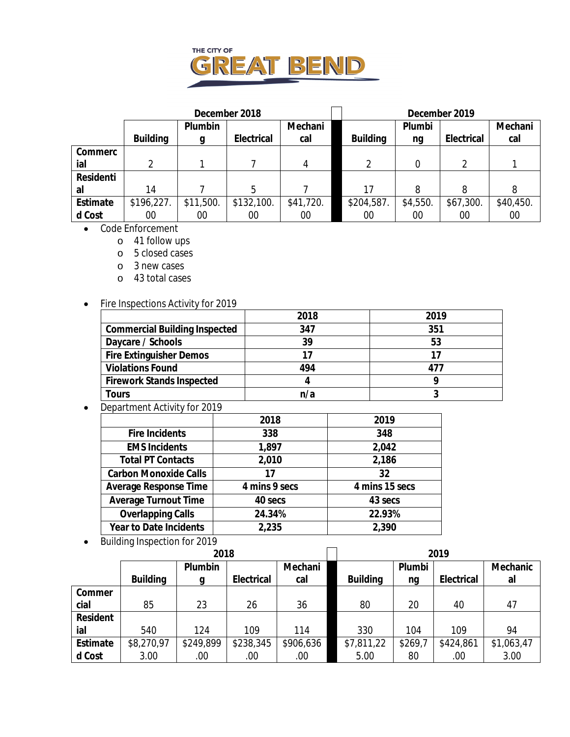

|           |                 |           | December 2018     |           |                 |          | December 2019 |           |
|-----------|-----------------|-----------|-------------------|-----------|-----------------|----------|---------------|-----------|
|           |                 | Plumbin   |                   | Mechani   |                 | Plumbi   |               | Mechani   |
|           | <b>Building</b> | g         | <b>Electrical</b> | cal       | <b>Building</b> | ng       | Electrical    | cal       |
| Commerc   |                 |           |                   |           |                 |          |               |           |
| ial       |                 |           |                   |           |                 | 0        |               |           |
| Residenti |                 |           |                   |           |                 |          |               |           |
| al        | 14              |           | 5                 |           | 17              | 8        | 8             | 8         |
| Estimate  | \$196,227.      | \$11,500. | \$132,100.        | \$41,720. | \$204,587.      | \$4,550. | \$67,300.     | \$40,450. |
| d Cost    | 00              | 00        | 00                | 00        | 00              | 00       | 00            | $00\,$    |

• Code Enforcement

- o 41 follow ups
	- o 5 closed cases
	- o 3 new cases
	- o 43 total cases
- Fire Inspections Activity for 2019

|                                      | 2018 | 2019 |
|--------------------------------------|------|------|
| <b>Commercial Building Inspected</b> | 347  | 351  |
| Daycare / Schools                    | 39   | 53   |
| <b>Fire Extinguisher Demos</b>       |      |      |
| <b>Violations Found</b>              | 494  | 477  |
| <b>Firework Stands Inspected</b>     |      |      |
| <b>Tours</b>                         | n/a  |      |

• Department Activity for 2019

|                               | 2018          | 2019           |
|-------------------------------|---------------|----------------|
| <b>Fire Incidents</b>         | 338           | 348            |
| <b>EMS Incidents</b>          | 1,897         | 2,042          |
| <b>Total PT Contacts</b>      | 2,010         | 2,186          |
| <b>Carbon Monoxide Calls</b>  | 17            | 32             |
| <b>Average Response Time</b>  | 4 mins 9 secs | 4 mins 15 secs |
| <b>Average Turnout Time</b>   | 40 secs       | 43 secs        |
| <b>Overlapping Calls</b>      | 24.34%        | 22.93%         |
| <b>Year to Date Incidents</b> | 2,235         | 2,390          |

Building Inspection for 2019

|                 |                 | 2018      |                   | 2019      |                 |         |                   |                 |
|-----------------|-----------------|-----------|-------------------|-----------|-----------------|---------|-------------------|-----------------|
|                 |                 | Plumbin   |                   | Mechani   |                 | Plumbi  |                   | <b>Mechanic</b> |
|                 | <b>Building</b> | g         | <b>Electrical</b> | cal       | <b>Building</b> | ng      | <b>Electrical</b> | al              |
| Commer          |                 |           |                   |           |                 |         |                   |                 |
| cial            | 85              | 23        | 26                | 36        | 80              | 20      | 40                | 47              |
| <b>Resident</b> |                 |           |                   |           |                 |         |                   |                 |
| ial             | 540             | 124       | 109               | 114       | 330             | 104     | 109               | 94              |
| <b>Estimate</b> | \$8,270,97      | \$249,899 | \$238,345         | \$906,636 | \$7,811,22      | \$269,7 | \$424,861         | \$1,063,47      |
| d Cost          | 3.00            | .00       | .00               | .00       | 5.00            | 80      | .00               | 3.00            |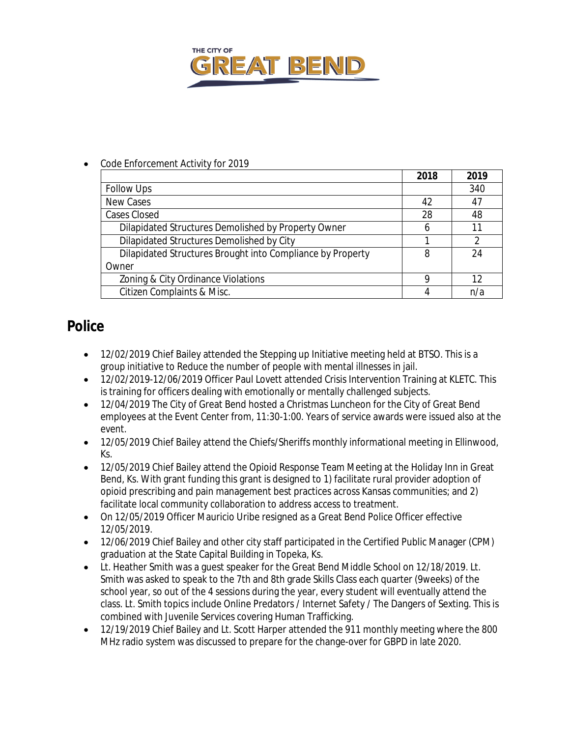

#### Code Enforcement Activity for 2019

|                                                            | 2018 | 2019           |
|------------------------------------------------------------|------|----------------|
| <b>Follow Ups</b>                                          |      | 340            |
| New Cases                                                  | 42   | 47             |
| <b>Cases Closed</b>                                        | 28   | 48             |
| Dilapidated Structures Demolished by Property Owner        | b    | 11             |
| Dilapidated Structures Demolished by City                  |      | $\mathfrak{D}$ |
| Dilapidated Structures Brought into Compliance by Property | 8    | 24             |
| Owner                                                      |      |                |
| Zoning & City Ordinance Violations                         | Q    | 12             |
| Citizen Complaints & Misc.                                 |      | n/a            |

### **Police**

- 12/02/2019 Chief Bailey attended the Stepping up Initiative meeting held at BTSO. This is a group initiative to Reduce the number of people with mental illnesses in jail.
- 12/02/2019-12/06/2019 Officer Paul Lovett attended Crisis Intervention Training at KLETC. This is training for officers dealing with emotionally or mentally challenged subjects.
- 12/04/2019 The City of Great Bend hosted a Christmas Luncheon for the City of Great Bend employees at the Event Center from, 11:30-1:00. Years of service awards were issued also at the event.
- 12/05/2019 Chief Bailey attend the Chiefs/Sheriffs monthly informational meeting in Ellinwood, Ks.
- 12/05/2019 Chief Bailey attend the Opioid Response Team Meeting at the Holiday Inn in Great Bend, Ks. With grant funding this grant is designed to 1) facilitate rural provider adoption of opioid prescribing and pain management best practices across Kansas communities; and 2) facilitate local community collaboration to address access to treatment.
- On 12/05/2019 Officer Mauricio Uribe resigned as a Great Bend Police Officer effective 12/05/2019.
- 12/06/2019 Chief Bailey and other city staff participated in the Certified Public Manager (CPM) graduation at the State Capital Building in Topeka, Ks.
- Lt. Heather Smith was a guest speaker for the Great Bend Middle School on 12/18/2019. Lt. Smith was asked to speak to the 7th and 8th grade Skills Class each quarter (9weeks) of the school year, so out of the 4 sessions during the year, every student will eventually attend the class. Lt. Smith topics include Online Predators / Internet Safety / The Dangers of Sexting. This is combined with Juvenile Services covering Human Trafficking.
- 12/19/2019 Chief Bailey and Lt. Scott Harper attended the 911 monthly meeting where the 800 MHz radio system was discussed to prepare for the change-over for GBPD in late 2020.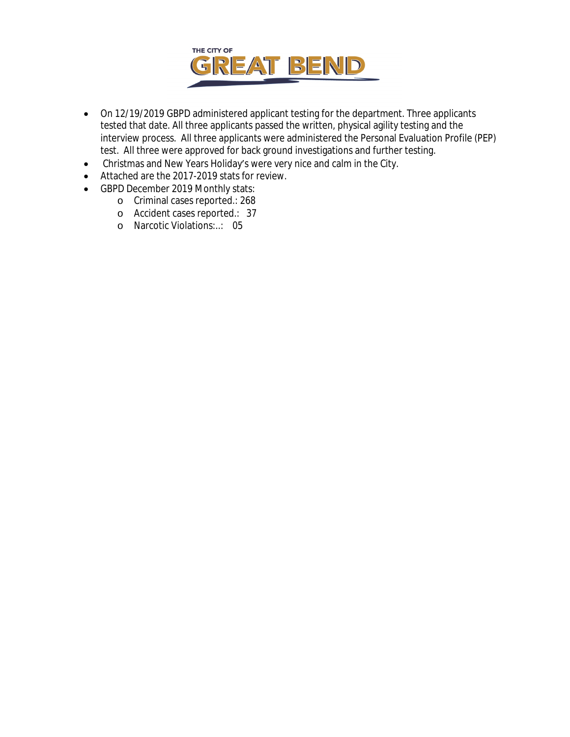

- On 12/19/2019 GBPD administered applicant testing for the department. Three applicants tested that date. All three applicants passed the written, physical agility testing and the interview process. All three applicants were administered the Personal Evaluation Profile (PEP) test. All three were approved for back ground investigations and further testing.
- Christmas and New Years Holiday's were very nice and calm in the City.
- Attached are the 2017-2019 stats for review.
- GBPD December 2019 Monthly stats:
	- o Criminal cases reported.: 268
	- o Accident cases reported.: 37
	- o Narcotic Violations:..: 05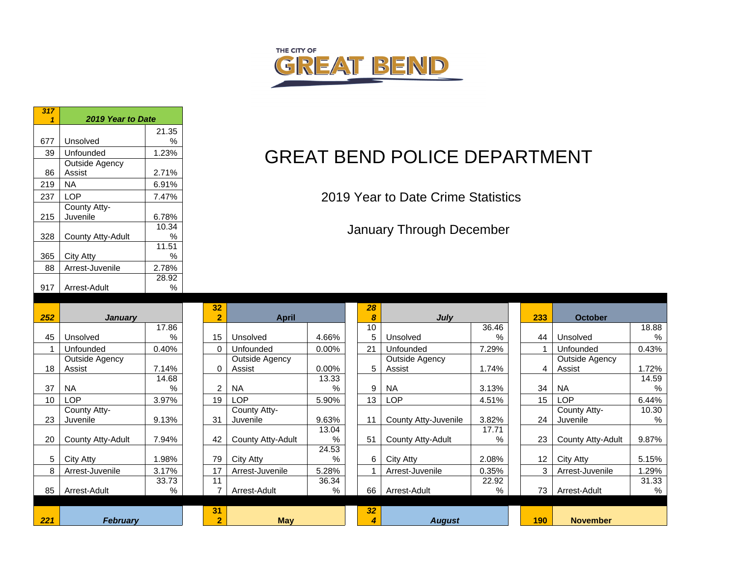

| 317<br>1 | 2019 Year to Date |       |
|----------|-------------------|-------|
|          |                   | 21.35 |
| 677      | Unsolved          | ℅     |
| 39       | Unfounded         | 1.23% |
|          | Outside Agency    |       |
| 86       | Assist            | 2.71% |
| 219      | NA                | 6.91% |
| 237      | LOP               | 7.47% |
|          | County Atty-      |       |
| 215      | Juvenile          | 6.78% |
|          |                   | 10.34 |
| 328      | County Atty-Adult | ℅     |
|          |                   | 11.51 |
| 365      | City Atty         | ℅     |
| 88       | Arrest-Juvenile   | 2.78% |
|          |                   | 28.92 |
| 917      | Arrest-Adult      | %     |

# GREAT BEND POLICE DEPARTMENT

2019 Year to Date Crime Statistics

January Through December

|     |                   |       | 32             |                   |       | 28 |                      |       |                   |                   |       |
|-----|-------------------|-------|----------------|-------------------|-------|----|----------------------|-------|-------------------|-------------------|-------|
| 252 | <b>January</b>    |       | $\overline{2}$ | <b>April</b>      |       | 8  | <b>July</b>          |       | 233               | <b>October</b>    |       |
|     |                   | 17.86 |                |                   |       | 10 |                      | 36.46 |                   |                   | 18.88 |
| 45  | Unsolved          | %     | 15             | Unsolved          | 4.66% | 5  | Unsolved             | %     | 44                | Unsolved          | $\%$  |
|     | Unfounded         | 0.40% |                | Unfounded         | 0.00% | 21 | Unfounded            | 7.29% |                   | Unfounded         | 0.43% |
|     | Outside Agency    |       |                | Outside Agency    |       |    | Outside Agency       |       |                   | Outside Agency    |       |
| 18  | Assist            | 7.14% |                | Assist            | 0.00% | 5  | Assist               | 1.74% | 4                 | Assist            | 1.72% |
|     |                   | 14.68 |                |                   | 13.33 |    |                      |       |                   |                   | 14.59 |
| 37  | <b>NA</b>         | %     | 2              | <b>NA</b>         | $\%$  | 9  | <b>NA</b>            | 3.13% | 34                | <b>NA</b>         | %     |
| 10  | LOP               | 3.97% | 19             | LOP               | 5.90% | 13 | LOP                  | 4.51% | 15                | <b>LOP</b>        | 6.44% |
|     | County Atty-      |       |                | County Atty-      |       |    |                      |       |                   | County Atty-      | 10.30 |
| 23  | Juvenile          | 9.13% | 31             | Juvenile          | 9.63% | 11 | County Atty-Juvenile | 3.82% | 24                | Juvenile          | %     |
|     |                   |       |                |                   | 13.04 |    |                      | 17.71 |                   |                   |       |
| 20  | County Atty-Adult | 7.94% | 42             | County Atty-Adult | %     | 51 | County Atty-Adult    | %     | 23                | County Atty-Adult | 9.87% |
|     |                   |       |                |                   | 24.53 |    |                      |       |                   |                   |       |
| 5   | City Atty         | .98%  | 79             | City Atty         | %     | 6  | City Atty            | 2.08% | $12 \overline{ }$ | City Atty         | 5.15% |
| 8   | Arrest-Juvenile   | 3.17% | 17             | Arrest-Juvenile   | 5.28% |    | Arrest-Juvenile      | 0.35% | 3                 | Arrest-Juvenile   | .29%  |
|     |                   | 33.73 | 11             |                   | 36.34 |    |                      | 22.92 |                   |                   | 31.33 |
| 85  | Arrest-Adult      | %     |                | Arrest-Adult      | ℅     | 66 | Arrest-Adult         | %     | 73                | Arrest-Adult      | %     |
|     |                   |       |                |                   |       |    |                      |       |                   |                   |       |
|     |                   |       | 31             |                   |       | 32 |                      |       |                   |                   |       |
| 221 | <b>February</b>   |       | $\overline{2}$ | <b>May</b>        |       | 4  | <b>August</b>        |       | 190               | <b>November</b>   |       |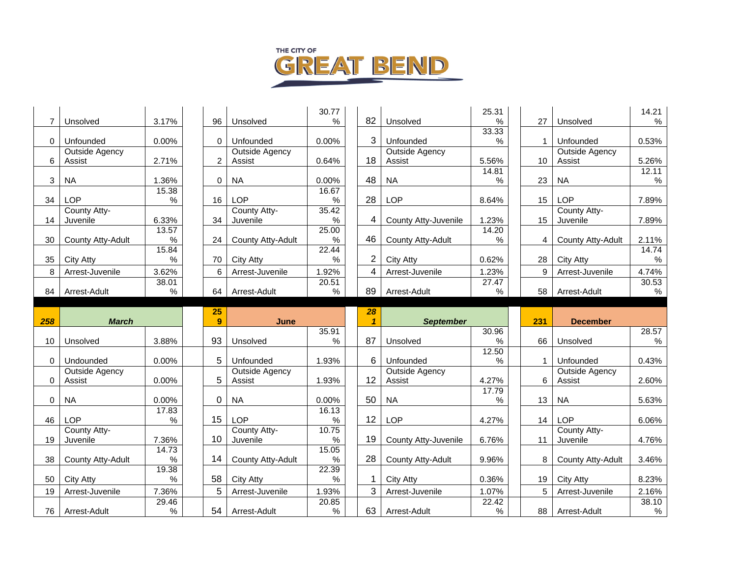

|                |                          |               |                |                       | 30.77         |                |                      | 25.31         |              |                   | 14.21         |
|----------------|--------------------------|---------------|----------------|-----------------------|---------------|----------------|----------------------|---------------|--------------|-------------------|---------------|
| $\overline{7}$ | Unsolved                 | 3.17%         | 96             | Unsolved              | $\%$          | 82             | Unsolved             | %             | 27           | Unsolved          | $\%$          |
|                |                          |               |                |                       |               |                |                      | 33.33         |              |                   |               |
| $\Omega$       | Unfounded                | $0.00\%$      | 0              | Unfounded             | 0.00%         | 3              | Unfounded            | $\%$          | $\mathbf{1}$ | Unfounded         | 0.53%         |
|                | Outside Agency           |               |                | <b>Outside Agency</b> |               |                | Outside Agency       |               |              | Outside Agency    |               |
| 6              | Assist                   | 2.71%         | $\overline{2}$ | Assist                | 0.64%         | 18             | Assist               | 5.56%         | 10           | Assist            | 5.26%         |
|                |                          |               |                |                       |               |                |                      | 14.81         |              |                   | 12.11         |
| 3              | <b>NA</b>                | 1.36%         | 0              | <b>NA</b>             | 0.00%         | 48             | <b>NA</b>            | $\%$          | 23           | <b>NA</b>         | %             |
|                |                          | 15.38         |                |                       | 16.67         |                |                      |               |              |                   |               |
| 34             | <b>LOP</b>               | %             | 16             | <b>LOP</b>            | $\%$          | 28             | LOP                  | 8.64%         | 15           | <b>LOP</b>        | 7.89%         |
|                | County Atty-             |               |                | County Atty-          | 35.42         |                |                      |               |              | County Atty-      |               |
| 14             | Juvenile                 | 6.33%         | 34             | Juvenile              | $\%$          | 4              | County Atty-Juvenile | 1.23%         | 15           | Juvenile          | 7.89%         |
|                |                          | 13.57         |                |                       | 25.00         |                |                      | 14.20         |              |                   |               |
| 30             | County Atty-Adult        | %             | 24             | County Atty-Adult     | $\%$          | 46             | County Atty-Adult    | $\%$          | 4            | County Atty-Adult | 2.11%         |
|                |                          | 15.84         |                |                       | 22.44         |                |                      |               |              |                   | 14.74         |
| 35             | <b>City Atty</b>         | %             | 70             | City Atty             | $\%$          | $\overline{2}$ | <b>City Atty</b>     | 0.62%         | 28           | <b>City Atty</b>  | $\%$          |
| 8              | Arrest-Juvenile          | 3.62%         | 6              | Arrest-Juvenile       | 1.92%         | 4              | Arrest-Juvenile      | 1.23%         | 9            | Arrest-Juvenile   | 4.74%         |
|                |                          | 38.01         |                |                       | 20.51         |                |                      | 27.47         |              |                   | 30.53         |
| 84             | Arrest-Adult             | %             | 64             | Arrest-Adult          | $\%$          | 89             | Arrest-Adult         | $\%$          | 58           | Arrest-Adult      | %             |
|                |                          |               |                |                       |               |                |                      |               |              |                   |               |
|                |                          |               |                |                       |               |                |                      |               |              |                   |               |
|                |                          |               | 25             |                       |               | 28             |                      |               |              |                   |               |
| 258            | <b>March</b>             |               | 9              | June                  |               | $\mathbf{1}$   | <b>September</b>     |               | 231          | <b>December</b>   |               |
|                |                          |               |                |                       | 35.91         |                |                      | 30.96         |              |                   | 28.57         |
| 10             | Unsolved                 | 3.88%         | 93             | Unsolved              | %             | 87             | Unsolved             | $\%$          | 66           | Unsolved          | %             |
|                |                          |               |                |                       |               |                |                      | 12.50         |              |                   |               |
| $\Omega$       | Undounded                | 0.00%         | 5              | Unfounded             | 1.93%         | 6              | Unfounded            | $\%$          | $\mathbf{1}$ | Unfounded         | 0.43%         |
|                | <b>Outside Agency</b>    |               |                | <b>Outside Agency</b> |               |                | Outside Agency       |               |              | Outside Agency    |               |
| $\mathbf 0$    | Assist                   | $0.00\%$      | 5              | Assist                | 1.93%         | 12             | Assist               | 4.27%         | 6            | Assist            | 2.60%         |
|                |                          |               |                |                       |               |                |                      | 17.79         |              |                   |               |
| $\mathbf 0$    | <b>NA</b>                | 0.00%         | 0              | <b>NA</b>             | 0.00%         | 50             | <b>NA</b>            | $\%$          | 13           | <b>NA</b>         | 5.63%         |
|                |                          | 17.83         |                |                       | 16.13         |                |                      |               |              |                   |               |
| 46             | <b>LOP</b>               | %             | 15             | LOP                   | $\%$          | 12             | <b>LOP</b>           | 4.27%         | 14           | <b>LOP</b>        | 6.06%         |
| 19             | County Atty-<br>Juvenile |               | 10             | County Atty-          | 10.75         | 19             |                      |               | 11           | County Atty-      |               |
|                |                          | 7.36%         |                | Juvenile              | $\%$          |                | County Atty-Juvenile | 6.76%         |              | Juvenile          | 4.76%         |
| 38             | County Atty-Adult        | 14.73<br>%    | 14             | County Atty-Adult     | 15.05<br>℅    | 28             | County Atty-Adult    | 9.96%         | 8            | County Atty-Adult | 3.46%         |
|                |                          | 19.38         |                |                       | 22.39         |                |                      |               |              |                   |               |
| 50             | City Atty                | %             | 58             | City Atty             | %             |                | City Atty            | 0.36%         | 19           | City Atty         | 8.23%         |
| 19             | Arrest-Juvenile          | 7.36%         | 5              | Arrest-Juvenile       | 1.93%         | 3              | Arrest-Juvenile      | 1.07%         | 5            | Arrest-Juvenile   | 2.16%         |
|                |                          | 29.46<br>$\%$ | 54             |                       | 20.85<br>$\%$ | 63             |                      | 22.42<br>$\%$ |              |                   | 38.10<br>$\%$ |